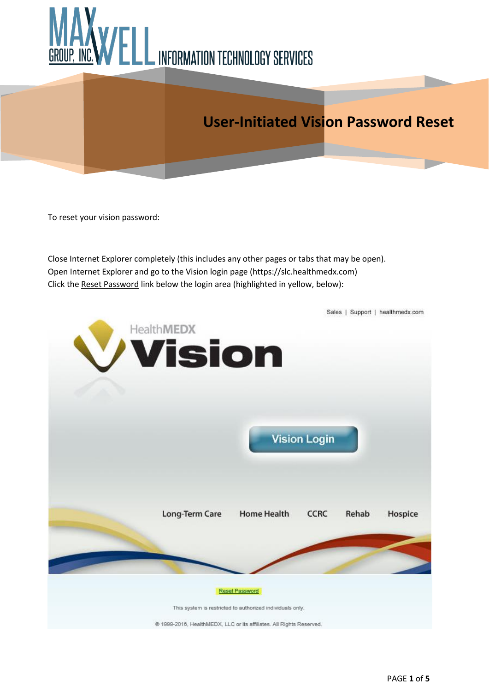

## **User-Initiated Vision Password Reset**

To reset your vision password:

Close Internet Explorer completely (this includes any other pages or tabs that may be open). Open Internet Explorer and go to the Vision login page (https://slc.healthmedx.com) Click the Reset Password link below the login area (highlighted in yellow, below):

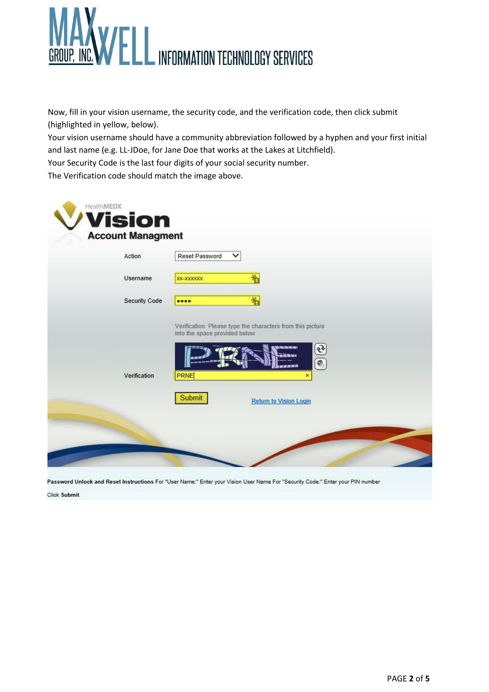

Now, fill in your vision username, the security code, and the verification code, then click submit (highlighted in yellow, below).

Your vision username should have a community abbreviation followed by a hyphen and your first initial and last name (e.g. LL-JDoe, for Jane Doe that works at the Lakes at Litchfield).

Your Security Code is the last four digits of your social security number.

The Verification code should match the image above.

| Action<br>Username | Reset Password<br>∨<br>嵛<br>XX-XXXXXX                                                                                                                     |
|--------------------|-----------------------------------------------------------------------------------------------------------------------------------------------------------|
| Security Code      | 剂<br>                                                                                                                                                     |
|                    | Verification: Please type the characters from this picture<br>into the space provided below                                                               |
|                    | $\begin{array}{c} \textcircled{\small 1} \ \textcircled{\small 2} \ \textcircled{\small 3} \end{array}$<br><b>B. YORK YORK YORK YORK?</b><br>inat<br>通常常品 |
| Verification       | <b>PRNE</b><br>$\pmb{\times}$                                                                                                                             |
|                    | Submit<br><b>Return to Vision Login</b>                                                                                                                   |

Password Unlock and Reset Instructions For "User Name:" Enter your Vision User Name For "Security Code:" Enter your PIN number

Click Submit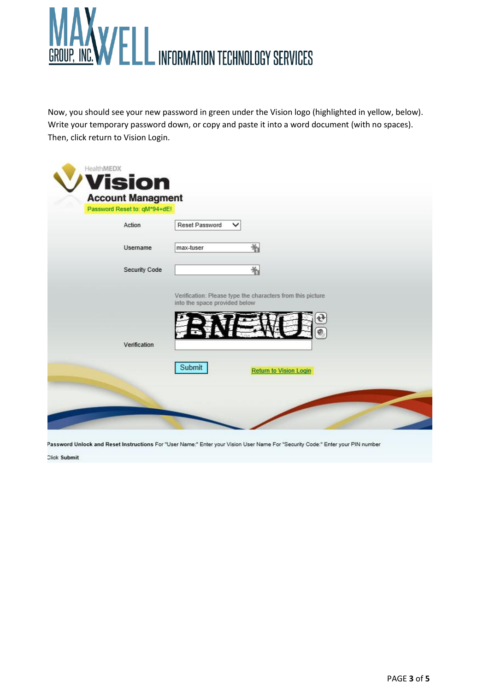

Now, you should see your new password in green under the Vision logo (highlighted in yellow, below). Write your temporary password down, or copy and paste it into a word document (with no spaces). Then, click return to Vision Login.

| Action        | Reset Password<br>✓                     |
|---------------|-----------------------------------------|
| Username      | 嵛<br>max-tuser                          |
| Security Code | 制                                       |
| Verification  |                                         |
|               | Submit<br><b>Return to Vision Login</b> |

Password Unlock and Reset Instructions For "User Name." Enter your Vision User Name For "Security Code." Enter your PIN number

Click Submit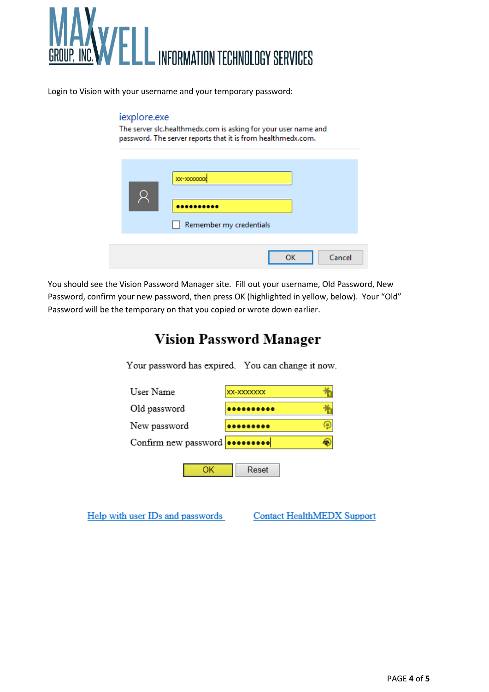

Login to Vision with your username and your temporary password:

## iexplore.exe

The server slc.healthmedx.com is asking for your user name and password. The server reports that it is from healthmedx.com.

| XX-XXXXXXX<br><br>Remember my credentials |
|-------------------------------------------|
| Cancel<br>ΩK                              |

You should see the Vision Password Manager site. Fill out your username, Old Password, New Password, confirm your new password, then press OK (highlighted in yellow, below). Your "Old" Password will be the temporary on that you copied or wrote down earlier.

## **Vision Password Manager**

Your password has expired. You can change it now.



Help with user IDs and passwords

**Contact HealthMEDX Support**